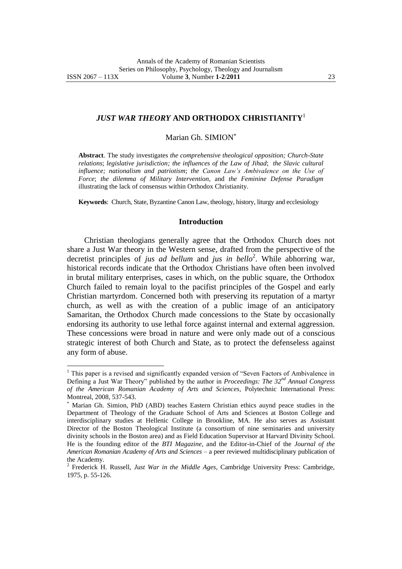*JUST WAR THEORY* **AND ORTHODOX CHRISTIANITY**<sup>1</sup>

Marian Gh. SIMION

**Abstract**. The study investigates *the comprehensive theological opposition; Church-State relations*; *legislative jurisdiction; the influences of the Law of Jihad*; *the Slavic cultural influence; nationalism and patriotism*; *the Canon Law's Ambivalence on the Use of Force*; *the dilemma of Military Intervention*, and *the Feminine Defense Paradigm* illustrating the lack of consensus within Orthodox Christianity.

**Keywords**: Church, State, Byzantine Canon Law, theology, history, liturgy and ecclesiology

## **Introduction**

Christian theologians generally agree that the Orthodox Church does not share a Just War theory in the Western sense, drafted from the perspective of the decretist principles of *jus ad bellum* and *jus in bello*<sup>2</sup>. While abhorring war, historical records indicate that the Orthodox Christians have often been involved in brutal military enterprises, cases in which, on the public square, the Orthodox Church failed to remain loyal to the pacifist principles of the Gospel and early Christian martyrdom. Concerned both with preserving its reputation of a martyr church, as well as with the creation of a public image of an anticipatory Samaritan, the Orthodox Church made concessions to the State by occasionally endorsing its authority to use lethal force against internal and external aggression. These concessions were broad in nature and were only made out of a conscious strategic interest of both Church and State, as to protect the defenseless against any form of abuse.

<sup>&</sup>lt;sup>1</sup> This paper is a revised and significantly expanded version of "Seven Factors of Ambivalence in Defining a Just War Theory" published by the author in *Proceedings: The 32nd Annual Congress of the American Romanian Academy of Arts and Sciences,* Polytechnic International Press: Montreal, 2008, 537-543.

Marian Gh. Simion, PhD (ABD) teaches Eastern Christian ethics auynd peace studies in the Department of Theology of the Graduate School of Arts and Sciences at Boston College and interdisciplinary studies at Hellenic College in Brookline, MA. He also serves as Assistant Director of the Boston Theological Institute (a consortium of nine seminaries and university divinity schools in the Boston area) and as Field Education Supervisor at Harvard Divinity School. He is the founding editor of the *BTI Magazine*, and the Editor-in-Chief of the *Journal of the American Romanian Academy of Arts and Sciences* – a peer reviewed multidisciplinary publication of the Academy.

<sup>2</sup> Frederick H. Russell, *Just War in the Middle Ages,* Cambridge University Press: Cambridge, 1975, p. 55-126.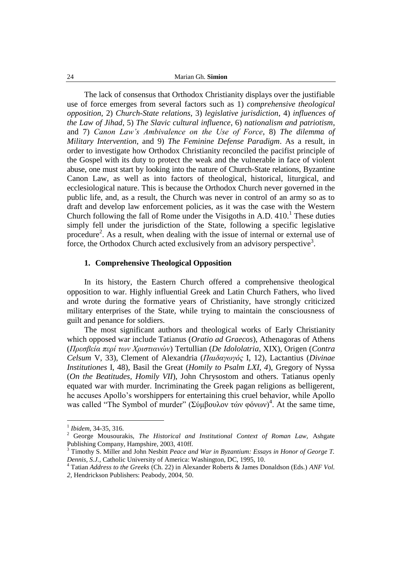The lack of consensus that Orthodox Christianity displays over the justifiable use of force emerges from several factors such as 1) *comprehensive theological opposition*, 2) *Church-State relations*, 3) *legislative jurisdiction*, 4) *influences of the Law of Jihad*, 5) *The Slavic cultural influence*, 6) *nationalism and patriotism*, and 7) *Canon Law's Ambivalence on the Use of Force*, 8) *The dilemma of Military Intervention*, and 9) *The Feminine Defense Paradigm*. As a result, in order to investigate how Orthodox Christianity reconciled the pacifist principle of the Gospel with its duty to protect the weak and the vulnerable in face of violent abuse, one must start by looking into the nature of Church-State relations, Byzantine Canon Law, as well as into factors of theological, historical, liturgical, and ecclesiological nature. This is because the Orthodox Church never governed in the public life, and, as a result, the Church was never in control of an army so as to draft and develop law enforcement policies, as it was the case with the Western Church following the fall of Rome under the Visigoths in A.D.  $410<sup>1</sup>$  These duties simply fell under the jurisdiction of the State, following a specific legislative procedure<sup>2</sup>. As a result, when dealing with the issue of internal or external use of force, the Orthodox Church acted exclusively from an advisory perspective<sup>3</sup>.

## **1. Comprehensive Theological Opposition**

In its history, the Eastern Church offered a comprehensive theological opposition to war. Highly influential Greek and Latin Church Fathers, who lived and wrote during the formative years of Christianity, have strongly criticized military enterprises of the State, while trying to maintain the consciousness of guilt and penance for soldiers.

The most significant authors and theological works of Early Christianity which opposed war include Tatianus (*Oratio ad Graecos*), Athenagoras of Athens (*Πρεζβεία περί ηων Χριζηιανών*) Tertullian (*De Idololatria*, XIX), Origen (*Contra Celsum* V, 33), Clement of Alexandria (*Παιδαγωγός* I, 12), Lactantius (*Divinae Institutiones* I, 48), Basil the Great (*Homily to Psalm LXI, 4*), Gregory of Nyssa (*On the Beatitudes, Homily VII*), John Chrysostom and others. Tatianus openly equated war with murder. Incriminating the Greek pagan religions as belligerent, he accuses Apollo"s worshippers for entertaining this cruel behavior, while Apollo was called "The Symbol of murder" (Σύμβουλον τών φόνων)<sup>4</sup>. At the same time,

<sup>1</sup> *Ibidem*, 34-35, 316.

<sup>2</sup> George Mousourakis, *The Historical and Institutional Context of Roman Law,* Ashgate Publishing Company, Hampshire, 2003, 410ff.

<sup>3</sup> Timothy S. Miller and John Nesbitt *Peace and War in Byzantium: Essays in Honor of George T. Dennis, S.J.,* Catholic University of America: Washington, DC, 1995, 10.

<sup>4</sup> Tatian *Address to the Greeks* (Ch. 22) in Alexander Roberts & James Donaldson (Eds.) *ANF Vol. 2,* Hendrickson Publishers: Peabody, 2004, 50.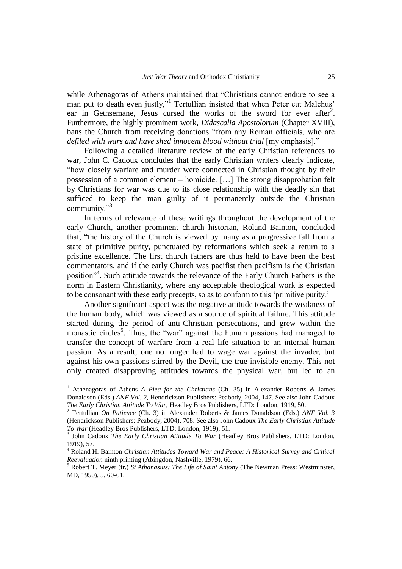while Athenagoras of Athens maintained that "Christians cannot endure to see a man put to death even justly,"<sup>1</sup> Tertullian insisted that when Peter cut Malchus' ear in Gethsemane, Jesus cursed the works of the sword for ever after<sup>2</sup>. Furthermore, the highly prominent work, *Didascalia Apostolorum* (Chapter XVIII), bans the Church from receiving donations "from any Roman officials, who are *defiled with wars and have shed innocent blood without trial* [my emphasis]."

Following a detailed literature review of the early Christian references to war, John C. Cadoux concludes that the early Christian writers clearly indicate, "how closely warfare and murder were connected in Christian thought by their possession of a common element – homicide. […] The strong disapprobation felt by Christians for war was due to its close relationship with the deadly sin that sufficed to keep the man guilty of it permanently outside the Christian community."<sup>3</sup>

In terms of relevance of these writings throughout the development of the early Church, another prominent church historian, Roland Bainton, concluded that, "the history of the Church is viewed by many as a progressive fall from a state of primitive purity, punctuated by reformations which seek a return to a pristine excellence. The first church fathers are thus held to have been the best commentators, and if the early Church was pacifist then pacifism is the Christian position"<sup>4</sup>. Such attitude towards the relevance of the Early Church Fathers is the norm in Eastern Christianity, where any acceptable theological work is expected to be consonant with these early precepts, so as to conform to this "primitive purity."

Another significant aspect was the negative attitude towards the weakness of the human body, which was viewed as a source of spiritual failure. This attitude started during the period of anti-Christian persecutions, and grew within the monastic circles<sup>5</sup>. Thus, the "war" against the human passions had managed to transfer the concept of warfare from a real life situation to an internal human passion. As a result, one no longer had to wage war against the invader, but against his own passions stirred by the Devil, the true invisible enemy. This not only created disapproving attitudes towards the physical war, but led to an

<sup>1</sup> Athenagoras of Athens *A Plea for the Christians* (Ch. 35) in Alexander Roberts & James Donaldson (Eds.) *ANF Vol. 2,* Hendrickson Publishers: Peabody, 2004, 147. See also John Cadoux *The Early Christian Attitude To War,* Headley Bros Publishers, LTD: London, 1919, 50.

<sup>2</sup> Tertullian *On Patience* (Ch. 3) in Alexander Roberts & James Donaldson (Eds.) *ANF Vol. 3*  (Hendrickson Publishers: Peabody, 2004), 708. See also John Cadoux *The Early Christian Attitude To War* (Headley Bros Publishers, LTD: London, 1919), 51.

<sup>3</sup> John Cadoux *The Early Christian Attitude To War* (Headley Bros Publishers, LTD: London, 1919), 57.

<sup>4</sup> Roland H. Bainton *Christian Attitudes Toward War and Peace: A Historical Survey and Critical Reevaluation* ninth printing (Abingdon, Nashville, 1979), 66.

<sup>5</sup> Robert T. Meyer (tr.) *St Athanasius: The Life of Saint Antony* (The Newman Press: Westminster, MD, 1950), 5, 60-61.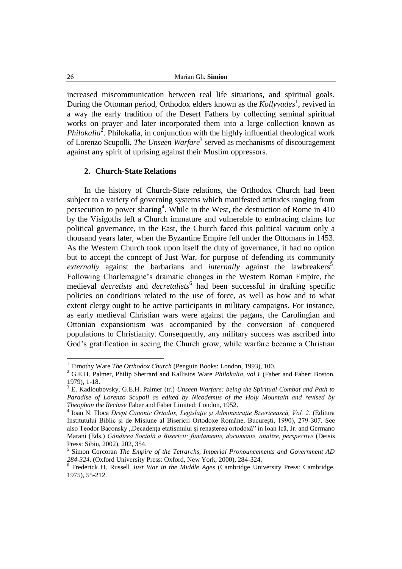increased miscommunication between real life situations, and spiritual goals. During the Ottoman period, Orthodox elders known as the *Kollyvades*<sup>1</sup>, revived in a way the early tradition of the Desert Fathers by collecting seminal spiritual works on prayer and later incorporated them into a large collection known as Philokalia<sup>2</sup>. Philokalia, in conjunction with the highly influential theological work of Lorenzo Scupolli, *The Unseen Warfare*<sup>3</sup> served as mechanisms of discouragement against any spirit of uprising against their Muslim oppressors.

## **2. Church-State Relations**

In the history of Church-State relations, the Orthodox Church had been subject to a variety of governing systems which manifested attitudes ranging from persecution to power sharing<sup>4</sup>. While in the West, the destruction of Rome in  $410$ by the Visigoths left a Church immature and vulnerable to embracing claims for political governance, in the East, the Church faced this political vacuum only a thousand years later, when the Byzantine Empire fell under the Ottomans in 1453. As the Western Church took upon itself the duty of governance, it had no option but to accept the concept of Just War, for purpose of defending its community externally against the barbarians and *internally* against the lawbreakers<sup>5</sup>. Following Charlemagne"s dramatic changes in the Western Roman Empire, the medieval *decretists* and *decretalists*<sup>6</sup> had been successful in drafting specific policies on conditions related to the use of force, as well as how and to what extent clergy ought to be active participants in military campaigns. For instance, as early medieval Christian wars were against the pagans, the Carolingian and Ottonian expansionism was accompanied by the conversion of conquered populations to Christianity. Consequently, any military success was ascribed into God"s gratification in seeing the Church grow, while warfare became a Christian

<sup>&</sup>lt;sup>1</sup> Timothy Ware *The Orthodox Church* (Penguin Books: London, 1993), 100.

<sup>2</sup> G.E.H. Palmer, Philip Sherrard and Kallistos Ware *Philokalia, vol.1* (Faber and Faber: Boston, 1979), 1-18.

<sup>3</sup> E. Kadloubovsky, G.E.H. Palmer (tr.) *Unseen Warfare: being the Spiritual Combat and Path to Paradise of Lorenzo Scupoli as edited by Nicodemus of the Holy Mountain and revised by Theophan the Recluse* Faber and Faber Limited: London, 1952.

<sup>4</sup> Ioan N. Floca *Drept Canonic Ortodox, Legislaţie şi Administraţie Bisericească, Vol. 2*. (Editura Institutului Biblic şi de Misiune al Bisericii Ortodoxe Române, Bucureşti, 1990), 279-307. See also Teodor Baconsky "Decadența etatismului și renașterea ortodoxă" in Ioan Ică, Jr. and Germano Marani (Eds.) *Gândirea Socială a Bisericii: fundamente, documente, analize, perspective* (Deisis Press: Sibiu, 2002), 202, 354.

<sup>5</sup> Simon Corcoran *The Empire of the Tetrarchs, Imperial Pronouncements and Government AD 284-324*. (Oxford University Press: Oxford, New York, 2000), 284-324.

<sup>6</sup> Frederick H. Russell *Just War in the Middle Ages* (Cambridge University Press: Cambridge, 1975), 55-212.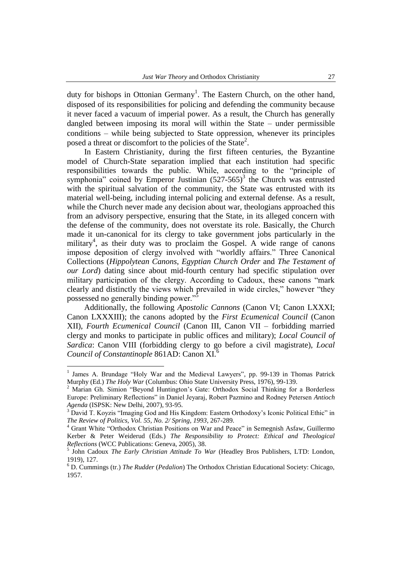duty for bishops in Ottonian Germany<sup>1</sup>. The Eastern Church, on the other hand, disposed of its responsibilities for policing and defending the community because it never faced a vacuum of imperial power. As a result, the Church has generally dangled between imposing its moral will within the State – under permissible conditions – while being subjected to State oppression, whenever its principles posed a threat or discomfort to the policies of the State<sup>2</sup>.

In Eastern Christianity, during the first fifteen centuries, the Byzantine model of Church-State separation implied that each institution had specific responsibilities towards the public. While, according to the "principle of symphonia" coined by Emperor Justinian  $(527-565)^3$  the Church was entrusted with the spiritual salvation of the community, the State was entrusted with its material well-being, including internal policing and external defense. As a result, while the Church never made any decision about war, theologians approached this from an advisory perspective, ensuring that the State, in its alleged concern with the defense of the community, does not overstate its role. Basically, the Church made it un-canonical for its clergy to take government jobs particularly in the military<sup>4</sup>, as their duty was to proclaim the Gospel. A wide range of canons impose deposition of clergy involved with "worldly affairs." Three Canonical Collections (*Hippolytean Canons*, *Egyptian Church Order* and *The Testament of our Lord*) dating since about mid-fourth century had specific stipulation over military participation of the clergy. According to Cadoux, these canons "mark clearly and distinctly the views which prevailed in wide circles," however "they possessed no generally binding power."

Additionally, the following *Apostolic Cannons* (Canon VI; Canon LXXXI; Canon LXXXIII); the canons adopted by the *First Ecumenical Council* (Canon XII), *Fourth Ecumenical Council* (Canon III, Canon VII – forbidding married clergy and monks to participate in public offices and military); *Local Council of Sardica*: Canon VIII (forbidding clergy to go before a civil magistrate), *Local Council of Constantinople* 861AD: Canon XI.<sup>6</sup>

<sup>&</sup>lt;sup>1</sup> James A. Brundage "Holy War and the Medieval Lawyers", pp. 99-139 in Thomas Patrick Murphy (Ed.) *The Holy War* (Columbus: Ohio State University Press, 1976), 99-139.

<sup>2</sup> Marian Gh. Simion "Beyond Huntington"s Gate: Orthodox Social Thinking for a Borderless Europe: Preliminary Reflections" in Daniel Jeyaraj, Robert Pazmino and Rodney Petersen *Antioch Agenda* (ISPSK: New Delhi, 2007), 93-95.

<sup>&</sup>lt;sup>3</sup> David T. Koyzis "Imaging God and His Kingdom: Eastern Orthodoxy's Iconic Political Ethic" in *The Review of Politics, Vol. 55, No. 2/ Spring, 1993*, 267-289.

<sup>4</sup> Grant White "Orthodox Christian Positions on War and Peace" in Semegnish Asfaw, Guillermo Kerber & Peter Weiderud (Eds.) *The Responsibility to Protect: Ethical and Theological Reflections* (WCC Publications: Geneva, 2005), 38.<br><sup>5</sup> John Codouy, The Early Christian Attitude To J

John Cadoux *The Early Christian Attitude To War* (Headley Bros Publishers, LTD: London, 1919), 127.

<sup>6</sup> D. Cummings (tr.) *The Rudder* (*Pedalion*) The Orthodox Christian Educational Society: Chicago, 1957.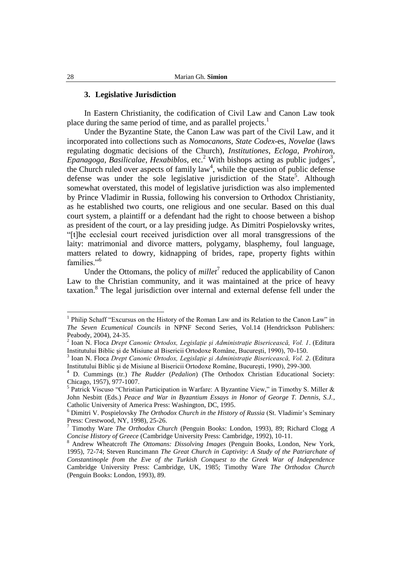## **3. Legislative Jurisdiction**

In Eastern Christianity, the codification of Civil Law and Canon Law took place during the same period of time, and as parallel projects.<sup>1</sup>

Under the Byzantine State, the Canon Law was part of the Civil Law, and it incorporated into collections such as *Nomocanons*, *State Codex*-es, *Novelae* (laws regulating dogmatic decisions of the Church), *Institutiones*, *Ecloga*, *Prohiron*,  $E$ *panagoga*, *Basilicalae*, *Hexabiblos*, etc.<sup>2</sup> With bishops acting as public judges<sup>3</sup>, the Church ruled over aspects of family  $law<sup>4</sup>$ , while the question of public defense defense was under the sole legislative jurisdiction of the State<sup>5</sup>. Although somewhat overstated, this model of legislative jurisdiction was also implemented by Prince Vladimir in Russia, following his conversion to Orthodox Christianity, as he established two courts, one religious and one secular. Based on this dual court system, a plaintiff or a defendant had the right to choose between a bishop as president of the court, or a lay presiding judge. As Dimitri Pospielovsky writes, "[t]he ecclesial court received jurisdiction over all moral transgressions of the laity: matrimonial and divorce matters, polygamy, blasphemy, foul language, matters related to dowry, kidnapping of brides, rape, property fights within families."<sup>6</sup>

Under the Ottomans, the policy of  $millet<sup>7</sup>$  reduced the applicability of Canon Law to the Christian community, and it was maintained at the price of heavy taxation.<sup>8</sup> The legal jurisdiction over internal and external defense fell under the

<sup>&</sup>lt;sup>1</sup> Philip Schaff "Excursus on the History of the Roman Law and its Relation to the Canon Law" in *The Seven Ecumenical Councils* in NPNF Second Series, Vol.14 (Hendrickson Publishers: Peabody, 2004), 24-35.

<sup>2</sup> Ioan N. Floca *Drept Canonic Ortodox, Legislaţie şi Administraţie Bisericească, Vol. 1*. (Editura Institutului Biblic şi de Misiune al Bisericii Ortodoxe Române, Bucureşti, 1990), 70-150.

<sup>3</sup> Ioan N. Floca *Drept Canonic Ortodox, Legislaţie şi Administraţie Bisericească, Vol. 2*. (Editura Institutului Biblic şi de Misiune al Bisericii Ortodoxe Române, Bucureşti, 1990), 299-300.

<sup>4</sup> D. Cummings (tr.) *The Rudder* (*Pedalion*) (The Orthodox Christian Educational Society: Chicago, 1957), 977-1007.

<sup>5</sup> Patrick Viscuso "Christian Participation in Warfare: A Byzantine View," in Timothy S. Miller & John Nesbitt (Eds.) *Peace and War in Byzantium Essays in Honor of George T. Dennis, S.J.*, Catholic University of America Press: Washington, DC, 1995.

<sup>6</sup> Dimitri V. Pospielovsky *The Orthodox Church in the History of Russia* (St. Vladimir"s Seminary Press: Crestwood, NY, 1998), 25-26.<br>  $\frac{7 \text{ Timetric W}}{2}$ 

<sup>7</sup> Timothy Ware *The Orthodox Church* (Penguin Books: London, 1993), 89; Richard Clogg *A Concise History of Greece* (Cambridge University Press: Cambridge, 1992), 10-11.

<sup>8</sup> Andrew Wheatcroft *The Ottomans: Dissolving Images* (Penguin Books, London, New York, 1995), 72-74; Steven Runcimann *The Great Church in Captivity: A Study of the Patriarchate of Constantinople from the Eve of the Turkish Conquest to the Greek War of Independence* Cambridge University Press: Cambridge, UK, 1985; Timothy Ware *The Orthodox Church*  (Penguin Books: London, 1993), 89.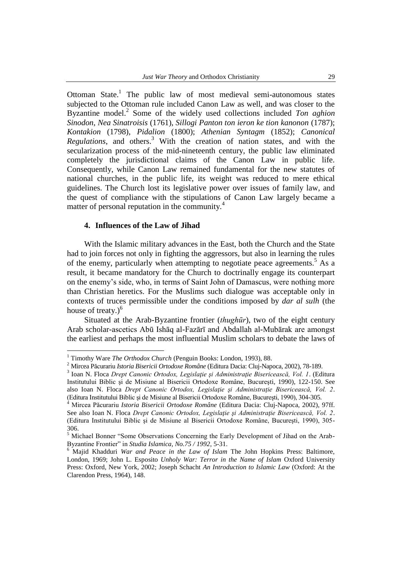Ottoman State.<sup>1</sup> The public law of most medieval semi-autonomous states subjected to the Ottoman rule included Canon Law as well, and was closer to the Byzantine model.<sup>2</sup> Some of the widely used collections included *Ton aghion Sinodon*, *Nea Sinatroisis* (1761), *Sillogi Panton ton ieron ke tion kanonon* (1787); *Kontakion* (1798), *Pidalion* (1800); *Athenian Syntagm* (1852); *Canonical Regulations*, and others.<sup>3</sup> With the creation of nation states, and with the secularization process of the mid-nineteenth century, the public law eliminated completely the jurisdictional claims of the Canon Law in public life. Consequently, while Canon Law remained fundamental for the new statutes of national churches, in the public life, its weight was reduced to mere ethical guidelines. The Church lost its legislative power over issues of family law, and the quest of compliance with the stipulations of Canon Law largely became a matter of personal reputation in the community.<sup>4</sup>

# **4. Influences of the Law of Jihad**

 $\overline{a}$ 

With the Islamic military advances in the East, both the Church and the State had to join forces not only in fighting the aggressors, but also in learning the rules of the enemy, particularly when attempting to negotiate peace agreements.<sup>5</sup> As a result, it became mandatory for the Church to doctrinally engage its counterpart on the enemy"s side, who, in terms of Saint John of Damascus, were nothing more than Christian heretics. For the Muslims such dialogue was acceptable only in contexts of truces permissible under the conditions imposed by *dar al sulh* (the house of treaty.) $<sup>6</sup>$ </sup>

Situated at the Arab-Byzantine frontier (*thughūr*), two of the eight century Arab scholar-ascetics Abū Ishāq al-Fazārī and Abdallah al-Mubārak are amongst the earliest and perhaps the most influential Muslim scholars to debate the laws of

<sup>&</sup>lt;sup>1</sup> Timothy Ware *The Orthodox Church* (Penguin Books: London, 1993), 88.

<sup>2</sup> Mircea Păcurariu *Istoria Bisericii Ortodoxe Române* (Editura Dacia: Cluj-Napoca, 2002), 78-189.

<sup>3</sup> Ioan N. Floca *Drept Canonic Ortodox, Legislaţie şi Administraţie Bisericească, Vol. 1*. (Editura Institutului Biblic şi de Misiune al Bisericii Ortodoxe Române, Bucureşti, 1990), 122-150. See also Ioan N. Floca *Drept Canonic Ortodox, Legislaţie şi Administraţie Bisericească, Vol. 2*. (Editura Institutului Biblic şi de Misiune al Bisericii Ortodoxe Române, Bucureşti, 1990), 304-305.

<sup>4</sup> Mircea Păcurariu *Istoria Bisericii Ortodoxe Române* (Editura Dacia: Cluj-Napoca, 2002), 97ff. See also Ioan N. Floca *Drept Canonic Ortodox, Legislaţie şi Administraţie Bisericească, Vol. 2*. (Editura Institutului Biblic şi de Misiune al Bisericii Ortodoxe Române, Bucureşti, 1990), 305- 306.

<sup>&</sup>lt;sup>5</sup> Michael Bonner "Some Observations Concerning the Early Development of Jihad on the Arab-Byzantine Frontier" in *Studia Islamica, No.75 / 1992*, 5-31.<br><sup>6</sup> Majid Khaddwi Way

<sup>6</sup> Majid Khadduri *War and Peace in the Law of Islam* The John Hopkins Press: Baltimore, London, 1969; John L. Esposito *Unholy War: Terror in the Name of Islam* Oxford University Press: Oxford, New York, 2002; Joseph Schacht *An Introduction to Islamic Law* (Oxford: At the Clarendon Press, 1964), 148.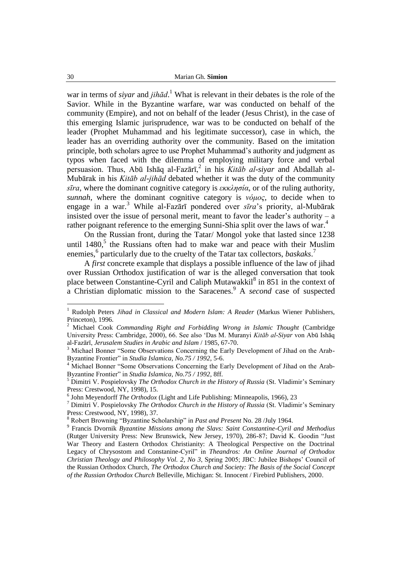war in terms of *siyar* and *jihād*. <sup>1</sup> What is relevant in their debates is the role of the Savior. While in the Byzantine warfare, war was conducted on behalf of the community (Empire), and not on behalf of the leader (Jesus Christ), in the case of this emerging Islamic jurisprudence, war was to be conducted on behalf of the leader (Prophet Muhammad and his legitimate successor), case in which, the leader has an overriding authority over the community. Based on the imitation principle, both scholars agree to use Prophet Muhammad"s authority and judgment as typos when faced with the dilemma of employing military force and verbal persuasion. Thus, Abū Ishāq al-Fazārī,<sup>2</sup> in his *Kitāb al-siyar* and Abdallah al-Mubārak in his *Kitāb al-jihād* debated whether it was the duty of the community *sīra*, where the dominant cognitive category is  $\epsilon \kappa \kappa \lambda \eta \sigma \alpha$ , or of the ruling authority, *sunnah*, where the dominant cognitive category is *vόμος*, to decide when to engage in a war.<sup>3</sup> While al-Fazārī pondered over *sīra*"s priority, al-Mubārak insisted over the issue of personal merit, meant to favor the leader's authority – a rather poignant reference to the emerging Sunni-Shia split over the laws of war.<sup>4</sup>

On the Russian front, during the Tatar/ Mongol yoke that lasted since 1238 until  $1480$ , the Russians often had to make war and peace with their Muslim enemies,<sup>6</sup> particularly due to the cruelty of the Tatar tax collectors, *baskaks*.<sup>7</sup>

A *first* concrete example that displays a possible influence of the law of jihad over Russian Orthodox justification of war is the alleged conversation that took place between Constantine-Cyril and Caliph Mutawakkil<sup>8</sup> in 851 in the context of a Christian diplomatic mission to the Saracenes.<sup>9</sup> A *second* case of suspected

<sup>&</sup>lt;sup>1</sup> Rudolph Peters *Jihad in Classical and Modern Islam: A Reader* (Markus Wiener Publishers, Princeton), 1996.

<sup>2</sup> Michael Cook *Commanding Right and Forbidding Wrong in Islamic Thought* (Cambridge University Press: Cambridge, 2000), 66. See also "Das M. Muranyi *Kitāb al-Siyar* von Abū Ishāq al-Fazārī, *Jerusalem Studies in Arabic and Islam* / 1985, 67-70.

<sup>&</sup>lt;sup>3</sup> Michael Bonner "Some Observations Concerning the Early Development of Jihad on the Arab-Byzantine Frontier" in *Studia Islamica, No.75 / 1992*, 5-6.

<sup>&</sup>lt;sup>4</sup> Michael Bonner "Some Observations Concerning the Early Development of Jihad on the Arab-Byzantine Frontier" in *Studia Islamica, No.75 / 1992*, 8ff.

<sup>5</sup> Dimitri V. Pospielovsky *The Orthodox Church in the History of Russia* (St. Vladimir"s Seminary Press: Crestwood, NY, 1998), 15.

<sup>6</sup> John Meyendorff *The Orthodox* (Light and Life Publishing: Minneapolis, 1966), 23

<sup>7</sup> Dimitri V. Pospielovsky *The Orthodox Church in the History of Russia* (St. Vladimir"s Seminary Press: Crestwood, NY, 1998), 37.

<sup>8</sup> Robert Browning "Byzantine Scholarship" in *Past and Present* No. 28 /July 1964.

<sup>9</sup> Francis Dvornik *Byzantine Missions among the Slavs: Saint Constantine-Cyril and Methodius*  (Rutger University Press: New Brunswick, New Jersey, 1970), 286-87; David K. Goodin "Just War Theory and Eastern Orthodox Christianity: A Theological Perspective on the Doctrinal Legacy of Chrysostom and Constanine-Cyril" in *Theandros: An Online Journal of Orthodox Christian Theology and Philosophy Vol. 2, No 3*, Spring 2005; JBC: Jubilee Bishops" Council of the Russian Orthodox Church, *The Orthodox Church and Society: The Basis of the Social Concept of the Russian Orthodox Church* Belleville, Michigan: St. Innocent / Firebird Publishers, 2000.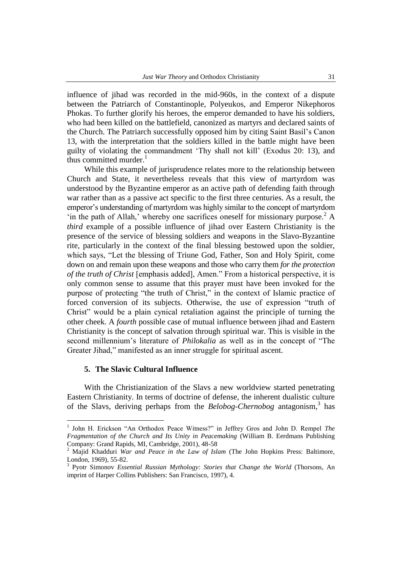influence of jihad was recorded in the mid-960s, in the context of a dispute between the Patriarch of Constantinople, Polyeukos, and Emperor Nikephoros Phokas. To further glorify his heroes, the emperor demanded to have his soldiers, who had been killed on the battlefield, canonized as martyrs and declared saints of the Church. The Patriarch successfully opposed him by citing Saint Basil"s Canon 13, with the interpretation that the soldiers killed in the battle might have been guilty of violating the commandment "Thy shall not kill" (Exodus 20: 13), and thus committed murder. $<sup>1</sup>$ </sup>

While this example of jurisprudence relates more to the relationship between Church and State, it nevertheless reveals that this view of martyrdom was understood by the Byzantine emperor as an active path of defending faith through war rather than as a passive act specific to the first three centuries. As a result, the emperor"s understanding of martyrdom was highly similar to the concept of martyrdom 'in the path of Allah,' whereby one sacrifices oneself for missionary purpose.<sup>2</sup> A *third* example of a possible influence of jihad over Eastern Christianity is the presence of the service of blessing soldiers and weapons in the Slavo-Byzantine rite, particularly in the context of the final blessing bestowed upon the soldier, which says, "Let the blessing of Triune God, Father, Son and Holy Spirit, come down on and remain upon these weapons and those who carry them *for the protection of the truth of Christ* [emphasis added], Amen." From a historical perspective, it is only common sense to assume that this prayer must have been invoked for the purpose of protecting "the truth of Christ," in the context of Islamic practice of forced conversion of its subjects. Otherwise, the use of expression "truth of Christ" would be a plain cynical retaliation against the principle of turning the other cheek. A *fourth* possible case of mutual influence between jihad and Eastern Christianity is the concept of salvation through spiritual war. This is visible in the second millennium"s literature of *Philokalia* as well as in the concept of "The Greater Jihad," manifested as an inner struggle for spiritual ascent.

# **5. The Slavic Cultural Influence**

 $\overline{a}$ 

With the Christianization of the Slavs a new worldview started penetrating Eastern Christianity. In terms of doctrine of defense, the inherent dualistic culture of the Slavs, deriving perhaps from the *Belobog-Chernobog* antagonism,<sup>3</sup> has

<sup>&</sup>lt;sup>1</sup> John H. Erickson "An Orthodox Peace Witness?" in Jeffrey Gros and John D. Rempel *The Fragmentation of the Church and Its Unity in Peacemaking* (William B. Eerdmans Publishing Company: Grand Rapids, MI, Cambridge, 2001), 48-58<br>
<sup>2</sup> Majid Khaddur, W

<sup>2</sup> Majid Khadduri *War and Peace in the Law of Islam* (The John Hopkins Press: Baltimore, London, 1969), 55-82.

<sup>3</sup> Pyotr Simonov *Essential Russian Mythology: Stories that Change the World* (Thorsons, An imprint of Harper Collins Publishers: San Francisco, 1997), 4.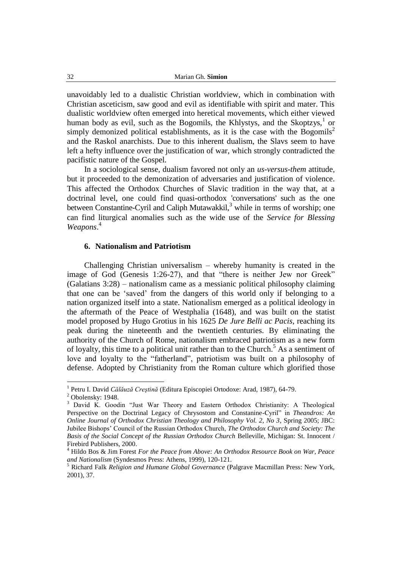unavoidably led to a dualistic Christian worldview, which in combination with Christian asceticism, saw good and evil as identifiable with spirit and mater. This dualistic worldview often emerged into heretical movements, which either viewed human body as evil, such as the Bogomils, the Khlystys, and the Skoptzys, $<sup>1</sup>$  or</sup> simply demonized political establishments, as it is the case with the Bogomils<sup>2</sup> and the Raskol anarchists. Due to this inherent dualism, the Slavs seem to have left a hefty influence over the justification of war, which strongly contradicted the pacifistic nature of the Gospel.

In a sociological sense, dualism favored not only an *us-versus-them* attitude, but it proceeded to the demonization of adversaries and justification of violence. This affected the Orthodox Churches of Slavic tradition in the way that, at a doctrinal level, one could find quasi-orthodox 'conversations' such as the one between Constantine-Cyril and Caliph Mutawakkil, $3$  while in terms of worship; one can find liturgical anomalies such as the wide use of the *Service for Blessing Weapons*. 4

## **6. Nationalism and Patriotism**

Challenging Christian universalism – whereby humanity is created in the image of God (Genesis 1:26-27), and that "there is neither Jew nor Greek" (Galatians 3:28) – nationalism came as a messianic political philosophy claiming that one can be "saved" from the dangers of this world only if belonging to a nation organized itself into a state. Nationalism emerged as a political ideology in the aftermath of the Peace of Westphalia (1648), and was built on the statist model proposed by Hugo Grotius in his 1625 *De Jure Belli ac Pacis*, reaching its peak during the nineteenth and the twentieth centuries. By eliminating the authority of the Church of Rome, nationalism embraced patriotism as a new form of loyalty, this time to a political unit rather than to the Church.<sup>5</sup> As a sentiment of love and loyalty to the "fatherland", patriotism was built on a philosophy of defense. Adopted by Christianity from the Roman culture which glorified those

 1 Petru I. David *Călăuză Creştină* (Editura Episcopiei Ortodoxe: Arad, 1987), 64-79.

 $2$  Obolensky: 1948.

<sup>&</sup>lt;sup>3</sup> David K. Goodin "Just War Theory and Eastern Orthodox Christianity: A Theological Perspective on the Doctrinal Legacy of Chrysostom and Constanine-Cyril" in *Theandros: An Online Journal of Orthodox Christian Theology and Philosophy Vol. 2, No 3*, Spring 2005; JBC: Jubilee Bishops" Council of the Russian Orthodox Church, *The Orthodox Church and Society: The Basis of the Social Concept of the Russian Orthodox Church* Belleville, Michigan: St. Innocent / Firebird Publishers, 2000.

<sup>4</sup> Hildo Bos & Jim Forest *For the Peace from Above: An Orthodox Resource Book on War, Peace and Nationalism* (Syndesmos Press: Athens, 1999), 120-121.

<sup>5</sup> Richard Falk *Religion and Humane Global Governance* (Palgrave Macmillan Press: New York, 2001), 37.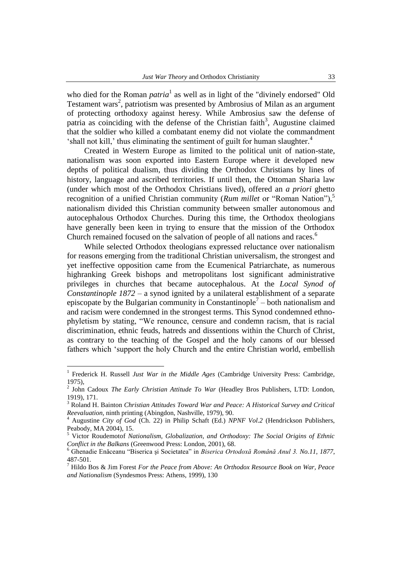who died for the Roman *patria*<sup>1</sup> as well as in light of the "divinely endorsed" Old Testament wars<sup>2</sup>, patriotism was presented by Ambrosius of Milan as an argument of protecting orthodoxy against heresy. While Ambrosius saw the defense of patria as coinciding with the defense of the Christian faith<sup>3</sup>, Augustine claimed that the soldier who killed a combatant enemy did not violate the commandment 'shall not kill,' thus eliminating the sentiment of guilt for human slaughter. $4$ 

Created in Western Europe as limited to the political unit of nation-state, nationalism was soon exported into Eastern Europe where it developed new depths of political dualism, thus dividing the Orthodox Christians by lines of history, language and ascribed territories. If until then, the Ottoman Sharia law (under which most of the Orthodox Christians lived), offered an *a priori* ghetto recognition of a unified Christian community (*Rum millet* or "Roman Nation"),<sup>5</sup> nationalism divided this Christian community between smaller autonomous and autocephalous Orthodox Churches. During this time, the Orthodox theologians have generally been keen in trying to ensure that the mission of the Orthodox Church remained focused on the salvation of people of all nations and races.<sup>6</sup>

While selected Orthodox theologians expressed reluctance over nationalism for reasons emerging from the traditional Christian universalism, the strongest and yet ineffective opposition came from the Ecumenical Patriarchate, as numerous highranking Greek bishops and metropolitans lost significant administrative privileges in churches that became autocephalous. At the *Local Synod of Constantinople 1872* – a synod ignited by a unilateral establishment of a separate episcopate by the Bulgarian community in Constantinople<sup>7</sup> – both nationalism and and racism were condemned in the strongest terms. This Synod condemned ethnophyletism by stating, "We renounce, censure and condemn racism, that is racial discrimination, ethnic feuds, hatreds and dissentions within the Church of Christ, as contrary to the teaching of the Gospel and the holy canons of our blessed fathers which "support the holy Church and the entire Christian world, embellish

<sup>1</sup> Frederick H. Russell *Just War in the Middle Ages* (Cambridge University Press: Cambridge, 1975),

<sup>2</sup> John Cadoux *The Early Christian Attitude To War* (Headley Bros Publishers, LTD: London, 1919), 171.

<sup>3</sup> Roland H. Bainton *Christian Attitudes Toward War and Peace: A Historical Survey and Critical Reevaluation,* ninth printing (Abingdon, Nashville, 1979), 90.

<sup>4</sup> Augustine *City of God* (Ch. 22) in Philip Schaft (Ed.) *NPNF Vol.2* (Hendrickson Publishers, Peabody, MA 2004), 15.

<sup>5</sup> Victor Roudemotof *Nationalism, Globalization, and Orthodoxy: The Social Origins of Ethnic Conflict in the Balkans* (Greenwood Press: London, 2001), 68.<br><sup>6</sup> Ghenadia Enžesse (SCR)

<sup>6</sup> Ghenadie Enăceanu "Biserica şi Societatea" in *Biserica Ortodoxă Română Anul 3. No.11, 1877*, 487-501.

<sup>7</sup> Hildo Bos & Jim Forest *For the Peace from Above: An Orthodox Resource Book on War, Peace and Nationalism* (Syndesmos Press: Athens, 1999), 130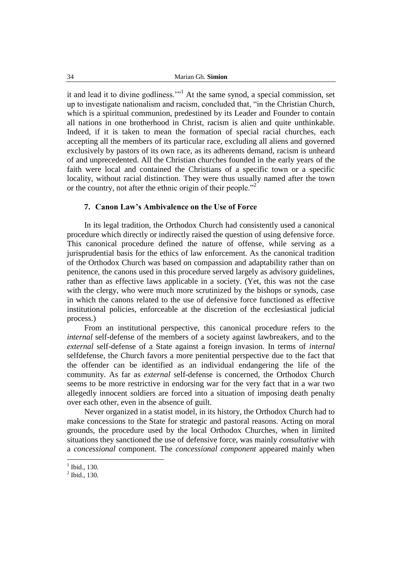it and lead it to divine godliness.""<sup>1</sup> At the same synod, a special commission, set up to investigate nationalism and racism, concluded that, "in the Christian Church, which is a spiritual communion, predestined by its Leader and Founder to contain all nations in one brotherhood in Christ, racism is alien and quite unthinkable. Indeed, if it is taken to mean the formation of special racial churches, each accepting all the members of its particular race, excluding all aliens and governed exclusively by pastors of its own race, as its adherents demand, racism is unheard of and unprecedented. All the Christian churches founded in the early years of the faith were local and contained the Christians of a specific town or a specific locality, without racial distinction. They were thus usually named after the town or the country, not after the ethnic origin of their people.<sup>"2</sup>

## **7. Canon Law's Ambivalence on the Use of Force**

In its legal tradition, the Orthodox Church had consistently used a canonical procedure which directly or indirectly raised the question of using defensive force. This canonical procedure defined the nature of offense, while serving as a jurisprudential basis for the ethics of law enforcement. As the canonical tradition of the Orthodox Church was based on compassion and adaptability rather than on penitence, the canons used in this procedure served largely as advisory guidelines, rather than as effective laws applicable in a society. (Yet, this was not the case with the clergy, who were much more scrutinized by the bishops or synods, case in which the canons related to the use of defensive force functioned as effective institutional policies, enforceable at the discretion of the ecclesiastical judicial process.)

From an institutional perspective, this canonical procedure refers to the *internal* self-defense of the members of a society against lawbreakers, and to the *external* self-defense of a State against a foreign invasion. In terms of *internal*  selfdefense, the Church favors a more penitential perspective due to the fact that the offender can be identified as an individual endangering the life of the community. As far as *external* self-defense is concerned, the Orthodox Church seems to be more restrictive in endorsing war for the very fact that in a war two allegedly innocent soldiers are forced into a situation of imposing death penalty over each other, even in the absence of guilt.

Never organized in a statist model, in its history, the Orthodox Church had to make concessions to the State for strategic and pastoral reasons. Acting on moral grounds, the procedure used by the local Orthodox Churches, when in limited situations they sanctioned the use of defensive force, was mainly *consultative* with a *concessional* component. The *concessional component* appeared mainly when

 $<sup>1</sup>$  Ibid., 130.</sup>

 $2$  Ibid., 130.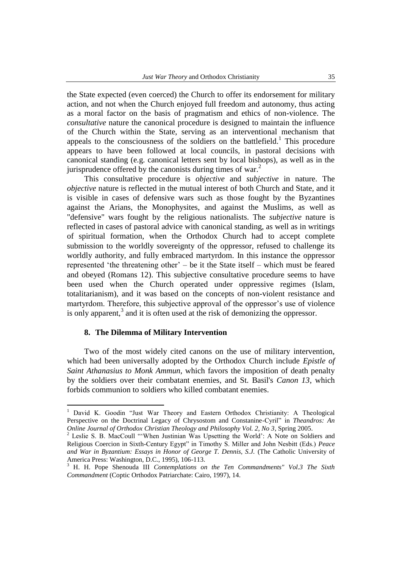the State expected (even coerced) the Church to offer its endorsement for military action, and not when the Church enjoyed full freedom and autonomy, thus acting as a moral factor on the basis of pragmatism and ethics of non-violence. The *consultative* nature the canonical procedure is designed to maintain the influence of the Church within the State, serving as an interventional mechanism that appeals to the consciousness of the soldiers on the battlefield.<sup>1</sup> This procedure appears to have been followed at local councils, in pastoral decisions with canonical standing (e.g. canonical letters sent by local bishops), as well as in the jurisprudence offered by the canonists during times of war. $<sup>2</sup>$ </sup>

This consultative procedure is *objective* and *subjective* in nature. The *objective* nature is reflected in the mutual interest of both Church and State, and it is visible in cases of defensive wars such as those fought by the Byzantines against the Arians, the Monophysites, and against the Muslims, as well as "defensive" wars fought by the religious nationalists. The *subjective* nature is reflected in cases of pastoral advice with canonical standing, as well as in writings of spiritual formation, when the Orthodox Church had to accept complete submission to the worldly sovereignty of the oppressor, refused to challenge its worldly authority, and fully embraced martyrdom. In this instance the oppressor represented "the threatening other" – be it the State itself – which must be feared and obeyed (Romans 12). This subjective consultative procedure seems to have been used when the Church operated under oppressive regimes (Islam, totalitarianism), and it was based on the concepts of non-violent resistance and martyrdom. Therefore, this subjective approval of the oppressor's use of violence is only apparent, $3$  and it is often used at the risk of demonizing the oppressor.

## **8. The Dilemma of Military Intervention**

 $\overline{a}$ 

Two of the most widely cited canons on the use of military intervention, which had been universally adopted by the Orthodox Church include *Epistle of Saint Athanasius to Monk Ammun*, which favors the imposition of death penalty by the soldiers over their combatant enemies, and St. Basil's *Canon 13*, which forbids communion to soldiers who killed combatant enemies.

<sup>&</sup>lt;sup>1</sup> David K. Goodin "Just War Theory and Eastern Orthodox Christianity: A Theological Perspective on the Doctrinal Legacy of Chrysostom and Constanine-Cyril" in *Theandros: An Online Journal of Orthodox Christian Theology and Philosophy Vol. 2, No 3*, Spring 2005.

<sup>&</sup>lt;sup>2</sup> Leslie S. B. MacCoull "'When Justinian Was Upsetting the World': A Note on Soldiers and Religious Coercion in Sixth-Century Egypt" in Timothy S. Miller and John Nesbitt (Eds.) *Peace and War in Byzantium: Essays in Honor of George T. Dennis, S.J.* (The Catholic University of America Press: Washington, D.C., 1995), 106-113.

<sup>3</sup> H. H. Pope Shenouda III *Contemplations on the Ten Commandments" Vol.3 The Sixth Commandment* (Coptic Orthodox Patriarchate: Cairo, 1997), 14.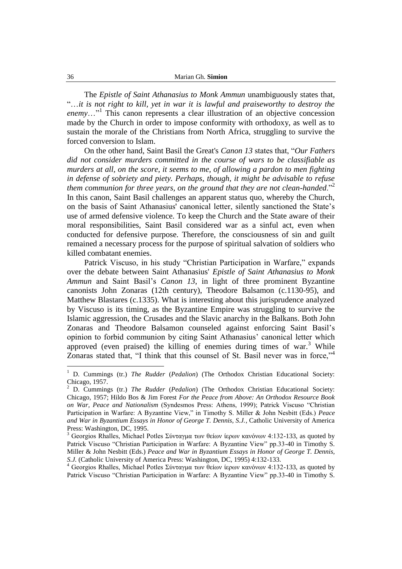The *Epistle of Saint Athanasius to Monk Ammun* unambiguously states that, "…*it is not right to kill, yet in war it is lawful and praiseworthy to destroy the* enemy..."<sup>1</sup> This canon represents a clear illustration of an objective concession made by the Church in order to impose conformity with orthodoxy, as well as to sustain the morale of the Christians from North Africa, struggling to survive the forced conversion to Islam.

On the other hand, Saint Basil the Great's *Canon 13* states that, "*Our Fathers did not consider murders committed in the course of wars to be classifiable as murders at all, on the score, it seems to me, of allowing a pardon to men fighting in defense of sobriety and piety. Perhaps, though, it might be advisable to refuse them communion for three years, on the ground that they are not clean-handed*."<sup>2</sup> In this canon, Saint Basil challenges an apparent status quo, whereby the Church, on the basis of Saint Athanasius' canonical letter, silently sanctioned the State"s use of armed defensive violence. To keep the Church and the State aware of their moral responsibilities, Saint Basil considered war as a sinful act, even when conducted for defensive purpose. Therefore, the consciousness of sin and guilt remained a necessary process for the purpose of spiritual salvation of soldiers who killed combatant enemies.

Patrick Viscuso, in his study "Christian Participation in Warfare," expands over the debate between Saint Athanasius' *Epistle of Saint Athanasius to Monk Ammun* and Saint Basil"s *Canon 13*, in light of three prominent Byzantine canonists John Zonaras (12th century), Theodore Balsamon (c.1130-95), and Matthew Blastares (c.1335). What is interesting about this jurisprudence analyzed by Viscuso is its timing, as the Byzantine Empire was struggling to survive the Islamic aggression, the Crusades and the Slavic anarchy in the Balkans. Both John Zonaras and Theodore Balsamon counseled against enforcing Saint Basil"s opinion to forbid communion by citing Saint Athanasius" canonical letter which approved (even praised) the killing of enemies during times of war.<sup>3</sup> While Zonaras stated that, "I think that this counsel of St. Basil never was in force,"<sup>4</sup>

<sup>1</sup> D. Cummings (tr.) *The Rudder* (*Pedalion*) (The Orthodox Christian Educational Society: Chicago, 1957.

<sup>2</sup> D. Cummings (tr.) *The Rudder* (*Pedalion*) (The Orthodox Christian Educational Society: Chicago, 1957; Hildo Bos & Jim Forest *For the Peace from Above: An Orthodox Resource Book on War, Peace and Nationalism* (Syndesmos Press: Athens, 1999); Patrick Viscuso "Christian Participation in Warfare: A Byzantine View," in Timothy S. Miller & John Nesbitt (Eds.) *Peace and War in Byzantium Essays in Honor of George T. Dennis, S.J.*, Catholic University of America Press: Washington, DC, 1995.

<sup>3</sup> Georgios Rhalles, Michael Potles Σύνταγμα των θείων ίερων κανόνων 4:132-133, as quoted by Patrick Viscuso "Christian Participation in Warfare: A Byzantine View" pp.33-40 in Timothy S. Miller & John Nesbitt (Eds.) *Peace and War in Byzantium Essays in Honor of George T. Dennis, S.J.* (Catholic University of America Press: Washington, DC, 1995) 4:132-133.

<sup>4</sup> Georgios Rhalles, Michael Potles Σύνταγμα των θείων ίερων κανόνων 4:132-133, as quoted by Patrick Viscuso "Christian Participation in Warfare: A Byzantine View" pp.33-40 in Timothy S.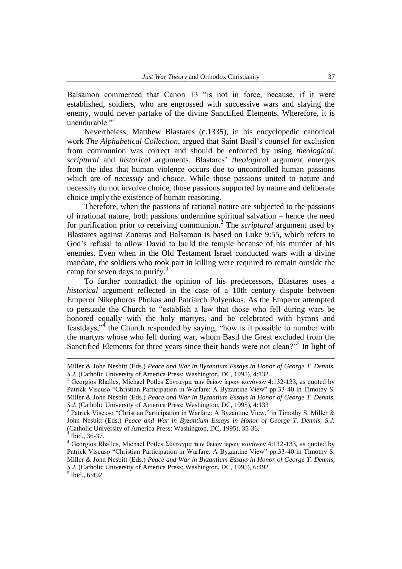Balsamon commented that Canon 13 "is not in force, because, if it were established, soldiers, who are engrossed with successive wars and slaying the enemy, would never partake of the divine Sanctified Elements. Wherefore, it is unendurable."<sup>1</sup>

Nevertheless, Matthew Blastares (c.1335), in his encyclopedic canonical work *The Alphabetical Collection*, argued that Saint Basil"s counsel for exclusion from communion was correct and should be enforced by using *theological*, *scriptural* and *historical* arguments. Blastares" *theological* argument emerges from the idea that human violence occurs due to uncontrolled human passions which are of *necessity* and *choice*. While those passions united to nature and necessity do not involve choice, those passions supported by nature and deliberate choice imply the existence of human reasoning.

Therefore, when the passions of rational nature are subjected to the passions of irrational nature, both passions undermine spiritual salvation – hence the need for purification prior to receiving communion.<sup>2</sup> The *scriptural* argument used by Blastares against Zonaras and Balsamon is based on Luke 9:55, which refers to God"s refusal to allow David to build the temple because of his murder of his enemies. Even when in the Old Testament Israel conducted wars with a divine mandate, the soldiers who took part in killing were required to remain outside the camp for seven days to purify.<sup>3</sup>

To further contradict the opinion of his predecessors, Blastares uses a *historical* argument reflected in the case of a 10th century dispute between Emperor Nikephoros Phokas and Patriarch Polyeukos. As the Emperor attempted to persuade the Church to "establish a law that those who fell during wars be honored equally with the holy martyrs, and be celebrated with hymns and feastdays,"<sup>4</sup> the Church responded by saying, "how is it possible to number with the martyrs whose who fell during war, whom Basil the Great excluded from the Sanctified Elements for three years since their hands were not clean?"<sup>5</sup> In light of

<u>.</u>

Miller & John Nesbitt (Eds.) *Peace and War in Byzantium Essays in Honor of George T. Dennis, S.J.* (Catholic University of America Press: Washington, DC, 1995), 4:132

<sup>1</sup> Georgios Rhalles, Michael Potles Σύνταγμα των θείων ίερων κανόνων 4:132-133, as quoted by Patrick Viscuso "Christian Participation in Warfare: A Byzantine View" pp.33-40 in Timothy S. Miller & John Nesbitt (Eds.) *Peace and War in Byzantium Essays in Honor of George T. Dennis, S.J.* (Catholic University of America Press: Washington, DC, 1995), 4:133

<sup>&</sup>lt;sup>2</sup> Patrick Viscuso "Christian Participation in Warfare: A Byzantine View," in Timothy S. Miller & John Nesbitt (Eds.) *Peace and War in Byzantium Essays in Honor of George T. Dennis, S.J.*  (Catholic University of America Press: Washington, DC, 1995), 35-36. 3 Ibid., 36-37.

<sup>4</sup> Georgios Rhalles, Michael Potles Σύνταγμα των θείων ίερων κανόνων 4:132-133, as quoted by Patrick Viscuso "Christian Participation in Warfare: A Byzantine View" pp.33-40 in Timothy S. Miller & John Nesbitt (Eds.) *Peace and War in Byzantium Essays in Honor of George T. Dennis, S.J.* (Catholic University of America Press: Washington, DC, 1995), 6:492 5 Ibid., 6:492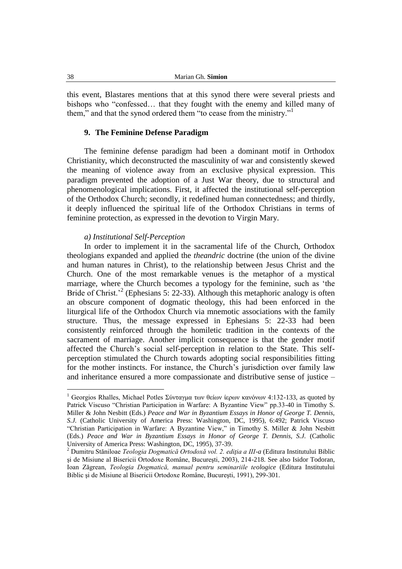this event, Blastares mentions that at this synod there were several priests and bishops who "confessed… that they fought with the enemy and killed many of them," and that the synod ordered them "to cease from the ministry."<sup>1</sup>

#### **9. The Feminine Defense Paradigm**

The feminine defense paradigm had been a dominant motif in Orthodox Christianity, which deconstructed the masculinity of war and consistently skewed the meaning of violence away from an exclusive physical expression. This paradigm prevented the adoption of a Just War theory, due to structural and phenomenological implications. First, it affected the institutional self-perception of the Orthodox Church; secondly, it redefined human connectedness; and thirdly, it deeply influenced the spiritual life of the Orthodox Christians in terms of feminine protection, as expressed in the devotion to Virgin Mary.

#### *a) Institutional Self-Perception*

In order to implement it in the sacramental life of the Church, Orthodox theologians expanded and applied the *theandric* doctrine (the union of the divine and human natures in Christ), to the relationship between Jesus Christ and the Church. One of the most remarkable venues is the metaphor of a mystical marriage, where the Church becomes a typology for the feminine, such as "the Bride of Christ.<sup>22</sup> (Ephesians 5: 22-33). Although this metaphoric analogy is often an obscure component of dogmatic theology, this had been enforced in the liturgical life of the Orthodox Church via mnemotic associations with the family structure. Thus, the message expressed in Ephesians 5: 22-33 had been consistently reinforced through the homiletic tradition in the contexts of the sacrament of marriage. Another implicit consequence is that the gender motif affected the Church"s social self-perception in relation to the State. This selfperception stimulated the Church towards adopting social responsibilities fitting for the mother instincts. For instance, the Church"s jurisdiction over family law and inheritance ensured a more compassionate and distributive sense of justice –

<sup>&</sup>lt;sup>1</sup> Georgios Rhalles, Michael Potles Σύνταγμα των θείων ίερων κανόνων 4:132-133, as quoted by Patrick Viscuso "Christian Participation in Warfare: A Byzantine View" pp.33-40 in Timothy S. Miller & John Nesbitt (Eds.) *Peace and War in Byzantium Essays in Honor of George T. Dennis, S.J.* (Catholic University of America Press: Washington, DC, 1995), 6:492; Patrick Viscuso "Christian Participation in Warfare: A Byzantine View," in Timothy S. Miller & John Nesbitt (Eds.) *Peace and War in Byzantium Essays in Honor of George T. Dennis, S.J.* (Catholic University of America Press: Washington, DC, 1995), 37-39.

<sup>2</sup> Dumitru Stăniloae *Teologia Dogmatică Ortodoxă vol. 2. ediţia a III-a* (Editura Institutului Biblic şi de Misiune al Bisericii Ortodoxe Române, Bucureşti, 2003), 214-218. See also Isidor Todoran, Ioan Zăgrean, *Teologia Dogmatică, manual pentru seminariile teologice* (Editura Institutului Biblic şi de Misiune al Bisericii Ortodoxe Române, Bucureşti, 1991), 299-301.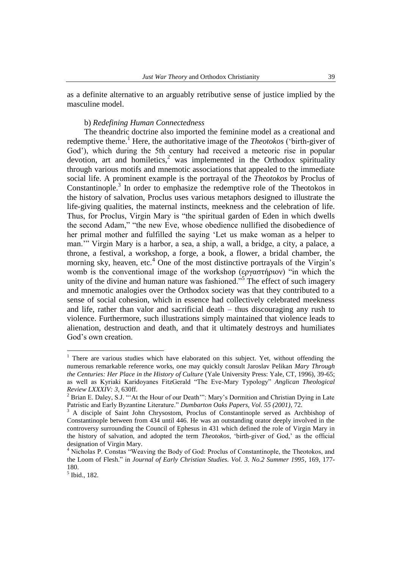as a definite alternative to an arguably retributive sense of justice implied by the masculine model.

#### b) *Redefining Human Connectedness*

The theandric doctrine also imported the feminine model as a creational and redemptive theme.<sup>1</sup> Here, the authoritative image of the *Theotokos* ('birth-giver of God'), which during the 5th century had received a meteoric rise in popular devotion, art and homiletics, $\lambda^2$  was implemented in the Orthodox spirituality through various motifs and mnemotic associations that appealed to the immediate social life. A prominent example is the portrayal of the *Theotokos* by Proclus of Constantinople.<sup>3</sup> In order to emphasize the redemptive role of the Theotokos in the history of salvation, Proclus uses various metaphors designed to illustrate the life-giving qualities, the maternal instincts, meekness and the celebration of life. Thus, for Proclus, Virgin Mary is "the spiritual garden of Eden in which dwells the second Adam," "the new Eve, whose obedience nullified the disobedience of her primal mother and fulfilled the saying "Let us make woman as a helper to man."" Virgin Mary is a harbor, a sea, a ship, a wall, a bridge, a city, a palace, a throne, a festival, a workshop, a forge, a book, a flower, a bridal chamber, the morning sky, heaven, etc. $4$  One of the most distinctive portrayals of the Virgin's womb is the conventional image of the workshop (εργαστήριον) "in which the unity of the divine and human nature was fashioned."<sup>5</sup> The effect of such imagery and mnemotic analogies over the Orthodox society was that they contributed to a sense of social cohesion, which in essence had collectively celebrated meekness and life, rather than valor and sacrificial death – thus discouraging any rush to violence. Furthermore, such illustrations simply maintained that violence leads to alienation, destruction and death, and that it ultimately destroys and humiliates God"s own creation.

<sup>&</sup>lt;sup>1</sup> There are various studies which have elaborated on this subject. Yet, without offending the numerous remarkable reference works, one may quickly consult Jaroslav Pelikan *Mary Through the Centuries: Her Place in the History of Culture* (Yale University Press: Yale, CT, 1996), 39-65; as well as Kyriaki Karidoyanes FitzGerald "The Eve-Mary Typology" *Anglican Theological Review LXXXIV: 3,* 630ff.

<sup>&</sup>lt;sup>2</sup> Brian E. Daley, S.J. ""At the Hour of our Death"": Mary's Dormition and Christian Dying in Late Patristic and Early Byzantine Literature." *Dumbarton Oaks Papers, Vol. 55 (2001)*, 72.

<sup>3</sup> A disciple of Saint John Chrysostom, Proclus of Constantinople served as Archbishop of Constantinople between from 434 until 446. He was an outstanding orator deeply involved in the controversy surrounding the Council of Ephesus in 431 which defined the role of Virgin Mary in the history of salvation, and adopted the term *Theotokos*, "birth-giver of God," as the official designation of Virgin Mary.

<sup>4</sup> Nicholas P. Constas "Weaving the Body of God: Proclus of Constantinople, the Theotokos, and the Loom of Flesh." in *Journal of Early Christian Studies. Vol. 3. No.2 Summer 1995*, 169, 177- 180.

<sup>5</sup> Ibid., 182.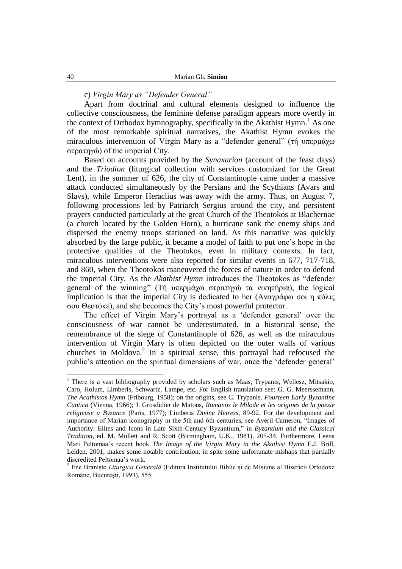# c) *Virgin Mary as "Defender General"*

Apart from doctrinal and cultural elements designed to influence the collective consciousness, the feminine defense paradigm appears more overtly in the context of Orthodox hymnography, specifically in the Akathist Hymn.<sup>1</sup> As one of the most remarkable spiritual narratives, the Akathist Hymn evokes the miraculous intervention of Virgin Mary as a "defender general" (τή υπερμάχω στρατηγώ) of the imperial City.

Based on accounts provided by the *Synaxarion* (account of the feast days) and the *Triodion* (liturgical collection with services customized for the Great Lent), in the summer of 626, the city of Constantinople came under a massive attack conducted simultaneously by the Persians and the Scythians (Avars and Slavs), while Emperor Heraclius was away with the army. Thus, on August 7, following processions led by Patriarch Sergius around the city, and persistent prayers conducted particularly at the great Church of the Theotokos at Blachernae (a church located by the Golden Horn), a hurricane sank the enemy ships and dispersed the enemy troops stationed on land. As this narrative was quickly absorbed by the large public, it became a model of faith to put one"s hope in the protective qualities of the Theotokos, even in military contexts. In fact, miraculous interventions were also reported for similar events in 677, 717-718, and 860, when the Theotokos maneuvered the forces of nature in order to defend the imperial City. As the *Akathist Hymn* introduces the Theotokos as "defender general of the winning" (Τή υπερμάχω στρατηγώ τα νικητήρια), the logical implication is that the imperial City is dedicated to her (Αναγράφω σοι η πόλις σοσ Θεοτόκε), and she becomes the City"s most powerful protector.

The effect of Virgin Mary"s portrayal as a "defender general" over the consciousness of war cannot be underestimated. In a historical sense, the remembrance of the siege of Constantinople of 626, as well as the miraculous intervention of Virgin Mary is often depicted on the outer walls of various churches in Moldova. $2$  In a spiritual sense, this portrayal had refocused the public"s attention on the spiritual dimensions of war, once the "defender general"

<sup>&</sup>lt;sup>1</sup> There is a vast bibliography provided by scholars such as Maas, Trypanis, Wellesz, Mitsakio, Caro, Holum, Limberis, Schwartz, Lampe, etc. For English translation see: G. G. Meerssemann, *The Acathistos Hymn* (Fribourg, 1958); on the origins, see C. Trypanis, *Fourteen Early Byzantine Cantica* (Vienna, 1966); J. Grosdidier de Matons, *Romanos le Milode et les origines de la poesie religieuse a Byzance* (Paris, 1977); Limberis *Divine Heiress*, 89-92. For the development and importance of Marian iconography in the 5th and 6th centuries, see Averil Cameron, "Images of Authority: Elites and Icons in Late Sixth-Century Byzantium," in *Byzantium and the Classical Tradition*, ed. M. Mullett and R. Scott (Birmingham, U.K., 1981), 205-34. Furthermore, Leena Mari Peltomaa"s recent book *The Image of the Virgin Mary in the Akathist Hymn* E.J. Brill, Leiden, 2001, makes some notable contribution, in spite some unfortunate mishaps that partially discredited Peltomaa"s work.

<sup>2</sup> Ene Branişte *Liturgica Generală* (Editura Institutului Biblic şi de Misiune al Bisericii Ortodoxe Române, Bucureşti, 1993), 555.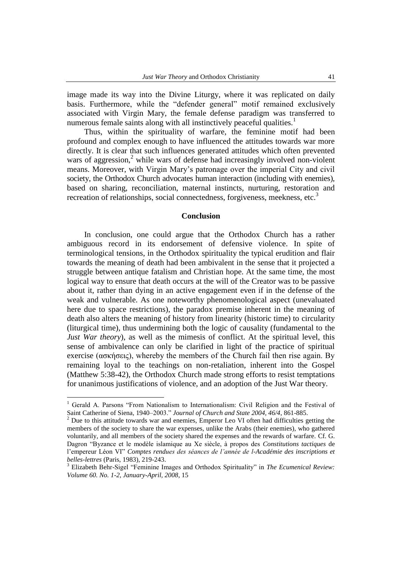image made its way into the Divine Liturgy, where it was replicated on daily basis. Furthermore, while the "defender general" motif remained exclusively associated with Virgin Mary, the female defense paradigm was transferred to numerous female saints along with all instinctively peaceful qualities.<sup>1</sup>

Thus, within the spirituality of warfare, the feminine motif had been profound and complex enough to have influenced the attitudes towards war more directly. It is clear that such influences generated attitudes which often prevented wars of aggression, $<sup>2</sup>$  while wars of defense had increasingly involved non-violent</sup> means. Moreover, with Virgin Mary"s patronage over the imperial City and civil society, the Orthodox Church advocates human interaction (including with enemies), based on sharing, reconciliation, maternal instincts, nurturing, restoration and recreation of relationships, social connectedness, forgiveness, meekness, etc.<sup>3</sup>

#### **Conclusion**

In conclusion, one could argue that the Orthodox Church has a rather ambiguous record in its endorsement of defensive violence. In spite of terminological tensions, in the Orthodox spirituality the typical erudition and flair towards the meaning of death had been ambivalent in the sense that it projected a struggle between antique fatalism and Christian hope. At the same time, the most logical way to ensure that death occurs at the will of the Creator was to be passive about it, rather than dying in an active engagement even if in the defense of the weak and vulnerable. As one noteworthy phenomenological aspect (unevaluated here due to space restrictions), the paradox premise inherent in the meaning of death also alters the meaning of history from linearity (historic time) to circularity (liturgical time), thus undermining both the logic of causality (fundamental to the *Just War theory*), as well as the mimesis of conflict. At the spiritual level, this sense of ambivalence can only be clarified in light of the practice of spiritual exercise (ασκήσεις), whereby the members of the Church fail then rise again. By remaining loyal to the teachings on non-retaliation, inherent into the Gospel (Matthew 5:38-42), the Orthodox Church made strong efforts to resist temptations for unanimous justifications of violence, and an adoption of the Just War theory.

<sup>1</sup> Gerald A. Parsons "From Nationalism to Internationalism: Civil Religion and the Festival of Saint Catherine of Siena, 1940–2003." *Journal of Church and State 2004, 46/4*, 861-885.

<sup>&</sup>lt;sup>2</sup> Due to this attitude towards war and enemies, Emperor Leo VI often had difficulties getting the members of the society to share the war expenses, unlike the Arabs (their enemies), who gathered voluntarily, and all members of the society shared the expenses and the rewards of warfare. Cf. G. Dagron "Byzance et le modèle islamique au Xe siècle, à propos des *Constitutions tactiques* de l"empereur Léon VI" *Comptes rendues des séances de l'année de l-Académie des inscriptions et belles-lettres* (Paris, 1983), 219-243.

<sup>3</sup> Elizabeth Behr-Sigel "Feminine Images and Orthodox Spirituality" in *The Ecumenical Review: Volume 60. No. 1-2, January-April, 2008*, 15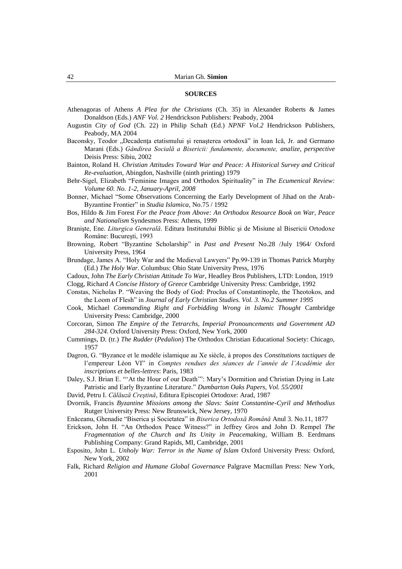#### **SOURCES**

- Athenagoras of Athens *A Plea for the Christians* (Ch. 35) in Alexander Roberts & James Donaldson (Eds.) *ANF Vol. 2* Hendrickson Publishers: Peabody, 2004
- Augustin *City of God* (Ch. 22) in Philip Schaft (Ed.) *NPNF Vol.2* Hendrickson Publishers, Peabody, MA 2004
- Baconsky, Teodor "Decadența etatismului și renașterea ortodoxă" in Ioan Ică, Jr. and Germano Marani (Eds.) *Gândirea Socială a Bisericii: fundamente, documente, analize, perspective*  Deisis Press: Sibiu, 2002
- Bainton, Roland H. *Christian Attitudes Toward War and Peace: A Historical Survey and Critical Re-evaluation*, Abingdon, Nashville (ninth printing) 1979
- Behr-Sigel, Elizabeth "Feminine Images and Orthodox Spirituality" in *The Ecumenical Review: Volume 60. No. 1-2, January-April, 2008*
- Bonner, Michael "Some Observations Concerning the Early Development of Jihad on the Arab-Byzantine Frontier" in *Studia Islamica*, No.75 / 1992
- Bos, Hildo & Jim Forest *For the Peace from Above: An Orthodox Resource Book on War, Peace and Nationalism* Syndesmos Press: Athens, 1999
- Branişte, Ene. *Liturgica Generală*. Editura Institutului Biblic şi de Misiune al Bisericii Ortodoxe Române: Bucureşti, 1993
- Browning, Robert "Byzantine Scholarship" in *Past and Present* No.28 /July 1964/ Oxford University Press, 1964
- Brundage, James A. "Holy War and the Medieval Lawyers" Pp.99-139 in Thomas Patrick Murphy (Ed.) *The Holy War*. Columbus: Ohio State University Press, 1976
- Cadoux, John *The Early Christian Attitude To War*, Headley Bros Publishers, LTD: London, 1919
- Clogg, Richard *A Concise History of Greece* Cambridge University Press: Cambridge, 1992
- Constas, Nicholas P. "Weaving the Body of God: Proclus of Constantinople, the Theotokos, and the Loom of Flesh" in *Journal of Early Christian Studies. Vol. 3. No.2 Summer 1995*
- Cook, Michael *Commanding Right and Forbidding Wrong in Islamic Thought* Cambridge University Press: Cambridge, 2000
- Corcoran, Simon *The Empire of the Tetrarchs, Imperial Pronouncements and Government AD 284-324*. Oxford University Press: Oxford, New York, 2000
- Cummings, D. (tr.) *The Rudder* (*Pedalion*) The Orthodox Christian Educational Society: Chicago, 1957
- Dagron, G. "Byzance et le modèle islamique au Xe siècle, à propos des *Constitutions tactiques* de l"empereur Léon VI" in *Comptes rendues des séances de l'année de l'Académie des inscriptions et belles-lettres*: Paris, 1983
- Daley, S.J. Brian E. ""At the Hour of our Death"": Mary"s Dormition and Christian Dying in Late Patristic and Early Byzantine Literature." *Dumbarton Oaks Papers, Vol. 55/2001*
- David, Petru I. *Călăuză Creştină*, Editura Episcopiei Ortodoxe: Arad, 1987
- Dvornik, Francis *Byzantine Missions among the Slavs: Saint Constantine-Cyril and Methodius*  Rutger University Press: New Brunswick, New Jersey, 1970
- Enăceanu, Ghenadie "Biserica şi Societatea" in *Biserica Ortodoxă Română* Anul 3. No.11, 1877
- Erickson, John H. "An Orthodox Peace Witness?" in Jeffrey Gros and John D. Rempel *The Fragmentation of the Church and Its Unity in Peacemaking*, William B. Eerdmans Publishing Company: Grand Rapids, MI, Cambridge, 2001
- Esposito, John L. *Unholy War: Terror in the Name of Islam* Oxford University Press: Oxford, New York, 2002
- Falk, Richard *Religion and Humane Global Governance* Palgrave Macmillan Press: New York, 2001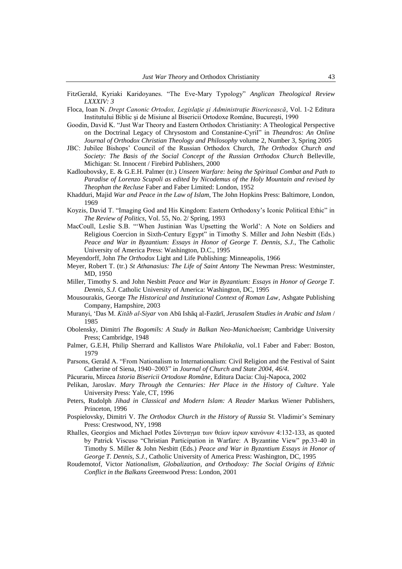- FitzGerald, Kyriaki Karidoyanes. "The Eve-Mary Typology" *Anglican Theological Review LXXXIV: 3*
- Floca, Ioan N. *Drept Canonic Ortodox, Legislaţie şi Administraţie Bisericească*, Vol. 1-2 Editura Institutului Biblic şi de Misiune al Bisericii Ortodoxe Române, Bucureşti, 1990
- Goodin, David K. "Just War Theory and Eastern Orthodox Christianity: A Theological Perspective on the Doctrinal Legacy of Chrysostom and Constanine-Cyril" in *Theandros: An Online Journal of Orthodox Christian Theology and Philosophy* volume 2, Number 3, Spring 2005
- JBC: Jubilee Bishops" Council of the Russian Orthodox Church, *The Orthodox Church and Society: The Basis of the Social Concept of the Russian Orthodox Church* Belleville, Michigan: St. Innocent / Firebird Publishers, 2000
- Kadloubovsky, E. & G.E.H. Palmer (tr.) *Unseen Warfare: being the Spiritual Combat and Path to Paradise of Lorenzo Scupoli as edited by Nicodemus of the Holy Mountain and revised by Theophan the Recluse* Faber and Faber Limited: London, 1952
- Khadduri, Majid *War and Peace in the Law of Islam*, The John Hopkins Press: Baltimore, London, 1969
- Koyzis, David T. "Imaging God and His Kingdom: Eastern Orthodoxy"s Iconic Political Ethic" in *The Review of Politics*, Vol. 55, No. 2/ Spring, 1993
- MacCoull, Leslie S.B. ""When Justinian Was Upsetting the World": A Note on Soldiers and Religious Coercion in Sixth-Century Egypt" in Timothy S. Miller and John Nesbitt (Eds.) *Peace and War in Byzantium: Essays in Honor of George T. Dennis, S.J.*, The Catholic University of America Press: Washington, D.C., 1995
- Meyendorff, John *The Orthodox* Light and Life Publishing: Minneapolis, 1966
- Meyer, Robert T. (tr.) *St Athanasius: The Life of Saint Antony* The Newman Press: Westminster, MD, 1950
- Miller, Timothy S. and John Nesbitt *Peace and War in Byzantium: Essays in Honor of George T. Dennis, S.J.* Catholic University of America: Washington, DC, 1995
- Mousourakis, George *The Historical and Institutional Context of Roman Law*, Ashgate Publishing Company, Hampshire, 2003
- Muranyi, "Das M. *Kitāb al-Siyar* von Abū Ishāq al-Fazārī, *Jerusalem Studies in Arabic and Islam* / 1985
- Obolensky, Dimitri *The Bogomils: A Study in Balkan Neo-Manichaeism*; Cambridge University Press; Cambridge, 1948
- Palmer, G.E.H, Philip Sherrard and Kallistos Ware *Philokalia*, vol.1 Faber and Faber: Boston, 1979
- Parsons, Gerald A. "From Nationalism to Internationalism: Civil Religion and the Festival of Saint Catherine of Siena, 1940–2003" in *Journal of Church and State 2004, 46/4*.
- Păcurariu, Mircea *Istoria Bisericii Ortodoxe Române*, Editura Dacia: Cluj-Napoca, 2002
- Pelikan, Jaroslav. *Mary Through the Centuries: Her Place in the History of Culture*. Yale University Press: Yale, CT, 1996
- Peters, Rudolph *Jihad in Classical and Modern Islam: A Reader* Markus Wiener Publishers, Princeton, 1996
- Pospielovsky, Dimitri V. *The Orthodox Church in the History of Russia* St. Vladimir"s Seminary Press: Crestwood, NY, 1998
- Rhalles, Georgios and Michael Potles Σύνταγμα των θείων ίερων κανόνων 4:132-133, as quoted by Patrick Viscuso "Christian Participation in Warfare: A Byzantine View" pp.33-40 in Timothy S. Miller & John Nesbitt (Eds.) *Peace and War in Byzantium Essays in Honor of George T. Dennis, S.J.*, Catholic University of America Press: Washington, DC, 1995
- Roudemotof, Victor *Nationalism, Globalization, and Orthodoxy: The Social Origins of Ethnic Conflict in the Balkans* Greenwood Press: London, 2001